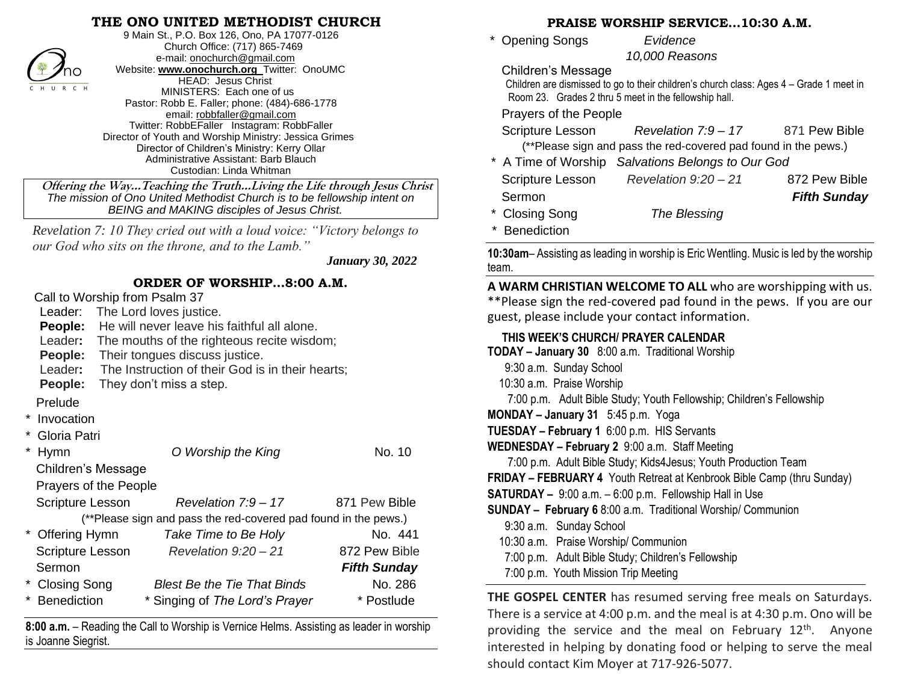### **THE ONO UNITED METHODIST CHURCH**



9 Main St., P.O. Box 126, Ono, PA 17077-0126 Church Office: (717) 865-7469 e-mail[: onochurch@gmail.com](mailto:onochurch@gmail.com) Website: **[www.onochurch.org](http://www.onochurch.org/)** Twitter: OnoUMC HEAD: Jesus Christ MINISTERS: Each one of us Pastor: Robb E. Faller; phone: (484)-686-1778 email: [robbfaller@gmail.com](mailto:robbfaller@gmail.com) Twitter: RobbEFaller Instagram: RobbFaller Director of Youth and Worship Ministry: Jessica Grimes Director of Children's Ministry: Kerry Ollar Administrative Assistant: Barb Blauch Custodian: Linda Whitman

 **Offering the Way…Teaching the Truth…Living the Life through Jesus Christ** *The mission of Ono United Methodist Church is to be fellowship intent on BEING and MAKING disciples of Jesus Christ.* 

*Revelation 7: 10 They cried out with a loud voice: "Victory belongs to our God who sits on the throne, and to the Lamb."*

 *January 30, 2022* 

#### **ORDER OF WORSHIP…8:00 A.M.**

|                                                                 |                                             | Call to Worship from Psalm 37                            |                     |  |  |  |
|-----------------------------------------------------------------|---------------------------------------------|----------------------------------------------------------|---------------------|--|--|--|
| Leader:                                                         | The Lord loves justice.                     |                                                          |                     |  |  |  |
| People:                                                         | He will never leave his faithful all alone. |                                                          |                     |  |  |  |
|                                                                 |                                             | Leader: The mouths of the righteous recite wisdom;       |                     |  |  |  |
| <b>People:</b>                                                  |                                             | Their tongues discuss justice.                           |                     |  |  |  |
|                                                                 |                                             | Leader: The Instruction of their God is in their hearts; |                     |  |  |  |
| People:                                                         | They don't miss a step.                     |                                                          |                     |  |  |  |
| Prelude                                                         |                                             |                                                          |                     |  |  |  |
| Invocation                                                      |                                             |                                                          |                     |  |  |  |
| Gloria Patri                                                    |                                             |                                                          |                     |  |  |  |
| Hymn                                                            |                                             | O Worship the King                                       | No. 10              |  |  |  |
|                                                                 | Children's Message                          |                                                          |                     |  |  |  |
| Prayers of the People                                           |                                             |                                                          |                     |  |  |  |
| Scripture Lesson                                                |                                             | Revelation 7:9 - 17                                      | 871 Pew Bible       |  |  |  |
| (**Please sign and pass the red-covered pad found in the pews.) |                                             |                                                          |                     |  |  |  |
| * Offering Hymn                                                 |                                             | Take Time to Be Holy                                     | No. 441             |  |  |  |
| Scripture Lesson                                                |                                             | Revelation $9:20-21$                                     | 872 Pew Bible       |  |  |  |
| Sermon                                                          |                                             |                                                          | <b>Fifth Sunday</b> |  |  |  |
| <b>Closing Song</b>                                             |                                             | <b>Blest Be the Tie That Binds</b>                       | No. 286             |  |  |  |
| <b>Benediction</b>                                              |                                             | * Singing of The Lord's Prayer                           | * Postlude          |  |  |  |

**8:00 a.m.** – Reading the Call to Worship is Vernice Helms. Assisting as leader in worship is Joanne Siegrist.

#### **PRAISE WORSHIP SERVICE…10:30 A.M.**

\* Opening Songs *Evidence* 

 *10,000 Reasons* 

Children's Message

 Children are dismissed to go to their children's church class: Ages 4 – Grade 1 meet in Room 23. Grades 2 thru 5 meet in the fellowship hall.

Prayers of the People

| Scripture Lesson | Revelation $7.9 - 17$                                           | 871 Pew Bible |
|------------------|-----------------------------------------------------------------|---------------|
|                  | (**Please sign and pass the red-covered pad found in the pews.) |               |

\* A Time of Worship *Salvations Belongs to Our God*

| Scripture Lesson | Revelation $9:20-21$ | 872 Pew Bible       |
|------------------|----------------------|---------------------|
| Sermon           |                      | <b>Fifth Sunday</b> |
| * Closing Song   | The Blessing         |                     |

**Benediction** 

**10:30am**– Assisting as leading in worship is Eric Wentling. Music is led by the worship team.

**A WARM CHRISTIAN WELCOME TO ALL** who are worshipping with us. \*\*Please sign the red-covered pad found in the pews. If you are our guest, please include your contact information.

#### **THIS WEEK'S CHURCH/ PRAYER CALENDAR**

| TODAY - January 30 8:00 a.m. Traditional Worship |  |  |  |
|--------------------------------------------------|--|--|--|
|--------------------------------------------------|--|--|--|

- 9:30 a.m. Sunday School
- 10:30 a.m. Praise Worship

7:00 p.m. Adult Bible Study; Youth Fellowship; Children's Fellowship

**MONDAY – January 31** 5:45 p.m. Yoga

- **TUESDAY – February 1** 6:00 p.m. HIS Servants
- **WEDNESDAY – February 2** 9:00 a.m. Staff Meeting

7:00 p.m. Adult Bible Study; Kids4Jesus; Youth Production Team

**FRIDAY – FEBRUARY 4** Youth Retreat at Kenbrook Bible Camp (thru Sunday)

**SATURDAY –** 9:00 a.m. – 6:00 p.m. Fellowship Hall in Use

**SUNDAY – February 6** 8:00 a.m. Traditional Worship/ Communion

9:30 a.m. Sunday School

ı

- 10:30 a.m. Praise Worship/ Communion
- 7:00 p.m. Adult Bible Study; Children's Fellowship
- 7:00 p.m. Youth Mission Trip Meeting

**THE GOSPEL CENTER** has resumed serving free meals on Saturdays. There is a service at 4:00 p.m. and the meal is at 4:30 p.m. Ono will be providing the service and the meal on February  $12<sup>th</sup>$ . Anyone interested in helping by donating food or helping to serve the meal should contact Kim Moyer at 717-926-5077. 

 $\overline{a}$